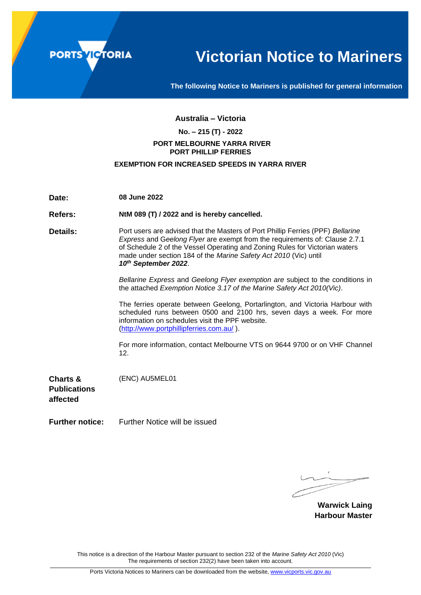

# **Victorian Notice to Mariners**

**The following Notice to Mariners is published for general information**

#### **Australia – Victoria**

## **No. – 215 (T) - 2022**

#### **PORT MELBOURNE YARRA RIVER PORT PHILLIP FERRIES**

#### **EXEMPTION FOR INCREASED SPEEDS IN YARRA RIVER**

**Date: 08 June 2022**

**Refers: NtM 089 (T) / 2022 and is hereby cancelled.**

**Details:** Port users are advised that the Masters of Port Phillip Ferries (PPF) *Bellarine Express* and G*eelong Flyer* are exempt from the requirements of: Clause 2.7.1 of Schedule 2 of the Vessel Operating and Zoning Rules for Victorian waters made under section 184 of the *Marine Safety Act 2010* (Vic) until *10 th September 2022*.

> *Bellarine Express* and *Geelong Flyer exemption are* subject to the conditions in the attached *Exemption Notice 3.17 of the Marine Safety Act 2010(Vic)*.

> The ferries operate between Geelong, Portarlington, and Victoria Harbour with scheduled runs between 0500 and 2100 hrs, seven days a week. For more information on schedules visit the PPF website. [\(http://www.portphillipferries.com.au/](http://www.portphillipferries.com.au/) ).

> For more information, contact Melbourne VTS on 9644 9700 or on VHF Channel 12.

**Charts & Publications affected** (ENC) AU5MEL01

**Further notice:** Further Notice will be issued

**Warwick Laing Harbour Master**

This notice is a direction of the Harbour Master pursuant to section 232 of the *Marine Safety Act 2010* (Vic) The requirements of section 232(2) have been taken into account.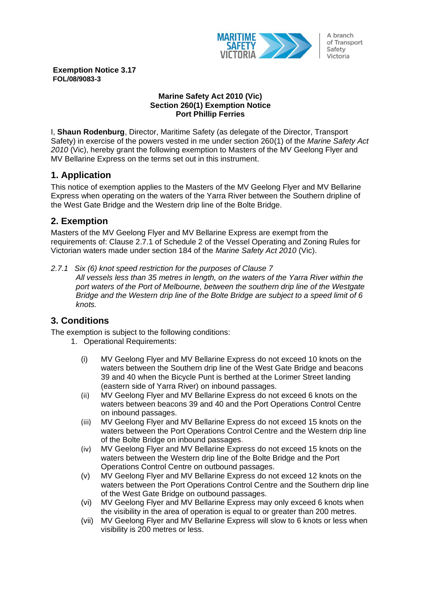

A branch of Transport Safety Victoria

**Exemption Notice 3.17 FOL/08/9083-3**

### **Marine Safety Act 2010 (Vic) Section 260(1) Exemption Notice Port Phillip Ferries**

I, **Shaun Rodenburg**, Director, Maritime Safety (as delegate of the Director, Transport Safety) in exercise of the powers vested in me under section 260(1) of the *Marine Safety Act 2010* (Vic), hereby grant the following exemption to Masters of the MV Geelong Flyer and MV Bellarine Express on the terms set out in this instrument.

## **1. Application**

This notice of exemption applies to the Masters of the MV Geelong Flyer and MV Bellarine Express when operating on the waters of the Yarra River between the Southern dripline of the West Gate Bridge and the Western drip line of the Bolte Bridge.

## **2. Exemption**

Masters of the MV Geelong Flyer and MV Bellarine Express are exempt from the requirements of: Clause 2.7.1 of Schedule 2 of the Vessel Operating and Zoning Rules for Victorian waters made under section 184 of the *Marine Safety Act 2010* (Vic).

*2.7.1 Six (6) knot speed restriction for the purposes of Clause 7*

*All vessels less than 35 metres in length, on the waters of the Yarra River within the port waters of the Port of Melbourne, between the southern drip line of the Westgate Bridge and the Western drip line of the Bolte Bridge are subject to a speed limit of 6 knots.*

# **3. Conditions**

The exemption is subject to the following conditions:

- 1. Operational Requirements:
	- (i) MV Geelong Flyer and MV Bellarine Express do not exceed 10 knots on the waters between the Southern drip line of the West Gate Bridge and beacons 39 and 40 when the Bicycle Punt is berthed at the Lorimer Street landing (eastern side of Yarra River) on inbound passages.
	- (ii) MV Geelong Flyer and MV Bellarine Express do not exceed 6 knots on the waters between beacons 39 and 40 and the Port Operations Control Centre on inbound passages.
	- (iii) MV Geelong Flyer and MV Bellarine Express do not exceed 15 knots on the waters between the Port Operations Control Centre and the Western drip line of the Bolte Bridge on inbound passages.
	- (iv) MV Geelong Flyer and MV Bellarine Express do not exceed 15 knots on the waters between the Western drip line of the Bolte Bridge and the Port Operations Control Centre on outbound passages.
	- (v) MV Geelong Flyer and MV Bellarine Express do not exceed 12 knots on the waters between the Port Operations Control Centre and the Southern drip line of the West Gate Bridge on outbound passages.
	- (vi) MV Geelong Flyer and MV Bellarine Express may only exceed 6 knots when the visibility in the area of operation is equal to or greater than 200 metres.
	- (vii) MV Geelong Flyer and MV Bellarine Express will slow to 6 knots or less when visibility is 200 metres or less.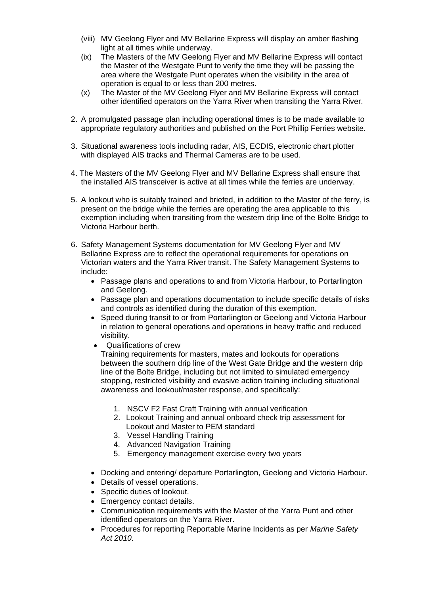- (viii) MV Geelong Flyer and MV Bellarine Express will display an amber flashing light at all times while underway.
- (ix) The Masters of the MV Geelong Flyer and MV Bellarine Express will contact the Master of the Westgate Punt to verify the time they will be passing the area where the Westgate Punt operates when the visibility in the area of operation is equal to or less than 200 metres.
- (x) The Master of the MV Geelong Flyer and MV Bellarine Express will contact other identified operators on the Yarra River when transiting the Yarra River.
- 2. A promulgated passage plan including operational times is to be made available to appropriate regulatory authorities and published on the Port Phillip Ferries website.
- 3. Situational awareness tools including radar, AIS, ECDIS, electronic chart plotter with displayed AIS tracks and Thermal Cameras are to be used.
- 4. The Masters of the MV Geelong Flyer and MV Bellarine Express shall ensure that the installed AIS transceiver is active at all times while the ferries are underway.
- 5. A lookout who is suitably trained and briefed, in addition to the Master of the ferry, is present on the bridge while the ferries are operating the area applicable to this exemption including when transiting from the western drip line of the Bolte Bridge to Victoria Harbour berth.
- 6. Safety Management Systems documentation for MV Geelong Flyer and MV Bellarine Express are to reflect the operational requirements for operations on Victorian waters and the Yarra River transit. The Safety Management Systems to include:
	- Passage plans and operations to and from Victoria Harbour, to Portarlington and Geelong.
	- Passage plan and operations documentation to include specific details of risks and controls as identified during the duration of this exemption.
	- Speed during transit to or from Portarlington or Geelong and Victoria Harbour in relation to general operations and operations in heavy traffic and reduced visibility.
	- Qualifications of crew

Training requirements for masters, mates and lookouts for operations between the southern drip line of the West Gate Bridge and the western drip line of the Bolte Bridge, including but not limited to simulated emergency stopping, restricted visibility and evasive action training including situational awareness and lookout/master response, and specifically:

- 1. NSCV F2 Fast Craft Training with annual verification
- 2. Lookout Training and annual onboard check trip assessment for Lookout and Master to PEM standard
- 3. Vessel Handling Training
- 4. Advanced Navigation Training
- 5. Emergency management exercise every two years
- Docking and entering/ departure Portarlington, Geelong and Victoria Harbour.
- Details of vessel operations.
- Specific duties of lookout.
- Emergency contact details.
- Communication requirements with the Master of the Yarra Punt and other identified operators on the Yarra River.
- Procedures for reporting Reportable Marine Incidents as per *Marine Safety Act 2010.*